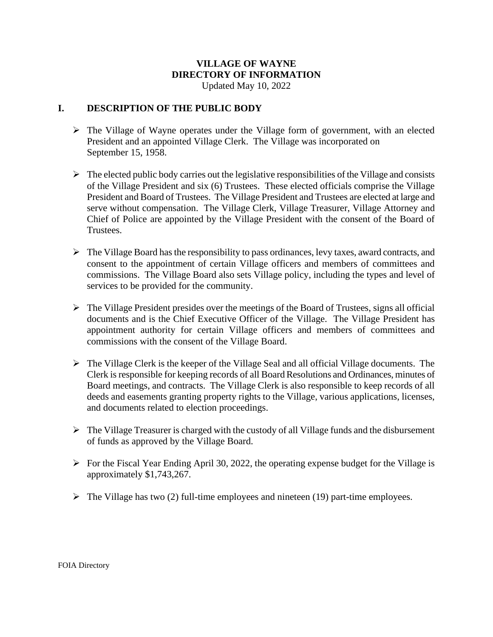# **VILLAGE OF WAYNE DIRECTORY OF INFORMATION**

Updated May 10, 2022

## **I. DESCRIPTION OF THE PUBLIC BODY**

- ➢ The Village of Wayne operates under the Village form of government, with an elected President and an appointed Village Clerk. The Village was incorporated on September 15, 1958.
- $\triangleright$  The elected public body carries out the legislative responsibilities of the Village and consists of the Village President and six (6) Trustees. These elected officials comprise the Village President and Board of Trustees. The Village President and Trustees are elected at large and serve without compensation. The Village Clerk, Village Treasurer, Village Attorney and Chief of Police are appointed by the Village President with the consent of the Board of Trustees.
- ➢ The Village Board has the responsibility to pass ordinances, levy taxes, award contracts, and consent to the appointment of certain Village officers and members of committees and commissions. The Village Board also sets Village policy, including the types and level of services to be provided for the community.
- $\triangleright$  The Village President presides over the meetings of the Board of Trustees, signs all official documents and is the Chief Executive Officer of the Village. The Village President has appointment authority for certain Village officers and members of committees and commissions with the consent of the Village Board.
- $\triangleright$  The Village Clerk is the keeper of the Village Seal and all official Village documents. The Clerk is responsible for keeping records of all Board Resolutions and Ordinances, minutes of Board meetings, and contracts. The Village Clerk is also responsible to keep records of all deeds and easements granting property rights to the Village, various applications, licenses, and documents related to election proceedings.
- ➢ The Village Treasurer is charged with the custody of all Village funds and the disbursement of funds as approved by the Village Board.
- $\triangleright$  For the Fiscal Year Ending April 30, 2022, the operating expense budget for the Village is approximately \$1,743,267.
- $\triangleright$  The Village has two (2) full-time employees and nineteen (19) part-time employees.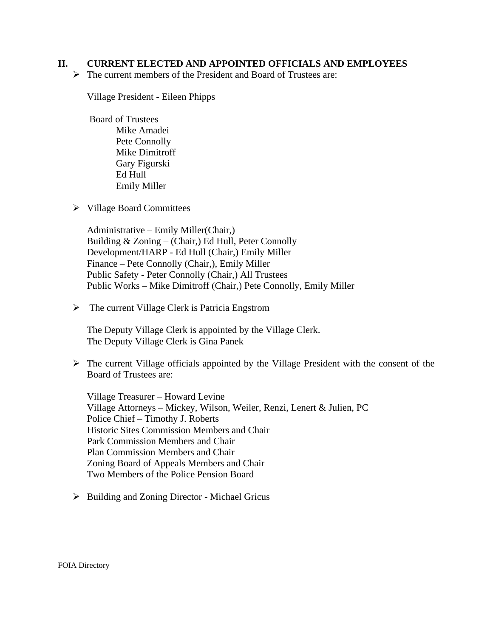### **II. CURRENT ELECTED AND APPOINTED OFFICIALS AND EMPLOYEES**

➢ The current members of the President and Board of Trustees are:

Village President - Eileen Phipps

Board of Trustees Mike Amadei Pete Connolly Mike Dimitroff Gary Figurski Ed Hull Emily Miller

➢ Village Board Committees

Administrative – Emily Miller(Chair,) Building  $& Zoning - (Chair,)$  Ed Hull, Peter Connolly Development/HARP - Ed Hull (Chair,) Emily Miller Finance – Pete Connolly (Chair,), Emily Miller Public Safety - Peter Connolly (Chair,) All Trustees Public Works – Mike Dimitroff (Chair,) Pete Connolly, Emily Miller

➢ The current Village Clerk is Patricia Engstrom

The Deputy Village Clerk is appointed by the Village Clerk. The Deputy Village Clerk is Gina Panek

➢ The current Village officials appointed by the Village President with the consent of the Board of Trustees are:

Village Treasurer – Howard Levine Village Attorneys – Mickey, Wilson, Weiler, Renzi, Lenert & Julien, PC Police Chief – Timothy J. Roberts Historic Sites Commission Members and Chair Park Commission Members and Chair Plan Commission Members and Chair Zoning Board of Appeals Members and Chair Two Members of the Police Pension Board

➢ Building and Zoning Director - Michael Gricus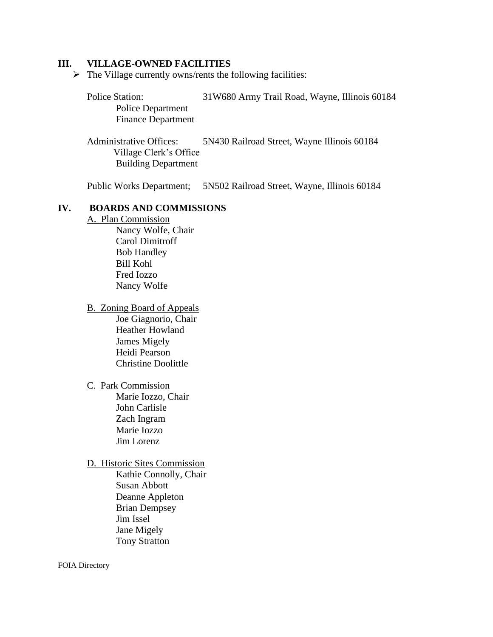#### **III. VILLAGE-OWNED FACILITIES**

 $\triangleright$  The Village currently owns/rents the following facilities:

Police Station: 31W680 Army Trail Road, Wayne, Illinois 60184 Police Department Finance Department

 Administrative Offices: 5N430 Railroad Street, Wayne Illinois 60184 Village Clerk's Office Building Department

Public Works Department; 5N502 Railroad Street, Wayne, Illinois 60184

#### **IV. BOARDS AND COMMISSIONS**

A. Plan Commission

Nancy Wolfe, Chair Carol Dimitroff Bob Handley Bill Kohl Fred Iozzo Nancy Wolfe

B. Zoning Board of Appeals

Joe Giagnorio, Chair Heather Howland James Migely Heidi Pearson Christine Doolittle

#### C. Park Commission

Marie Iozzo, Chair John Carlisle Zach Ingram Marie Iozzo Jim Lorenz

#### D. Historic Sites Commission

Kathie Connolly, Chair Susan Abbott Deanne Appleton Brian Dempsey Jim Issel Jane Migely Tony Stratton

FOIA Directory